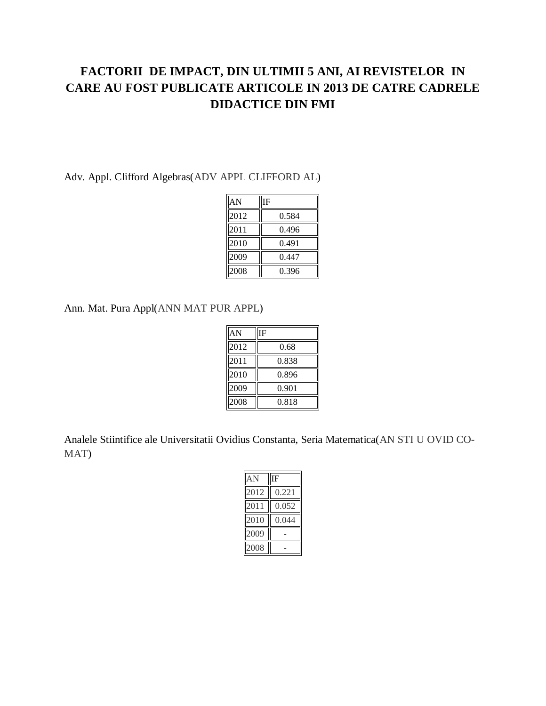## **FACTORII DE IMPACT, DIN ULTIMII 5 ANI, AI REVISTELOR IN CARE AU FOST PUBLICATE ARTICOLE IN 2013 DE CATRE CADRELE DIDACTICE DIN FMI**

#### Adv. Appl. Clifford Algebras(ADV APPL CLIFFORD AL)

| AN   | IF    |
|------|-------|
| 2012 | 0.584 |
| 2011 | 0.496 |
| 2010 | 0.491 |
| 2009 | 0.447 |
| 2008 | 0.396 |

Ann. Mat. Pura Appl(ANN MAT PUR APPL)

| AN   | IF    |
|------|-------|
| 2012 | 0.68  |
| 2011 | 0.838 |
| 2010 | 0.896 |
| 2009 | 0.901 |
| 2008 | 0.818 |

Analele Stiintifice ale Universitatii Ovidius Constanta, Seria Matematica(AN STI U OVID CO-MAT)

| AN   | ΙF    |
|------|-------|
| 2012 | 0.221 |
| 2011 | 0.052 |
| 2010 | 0.044 |
| 2009 |       |
| 2008 |       |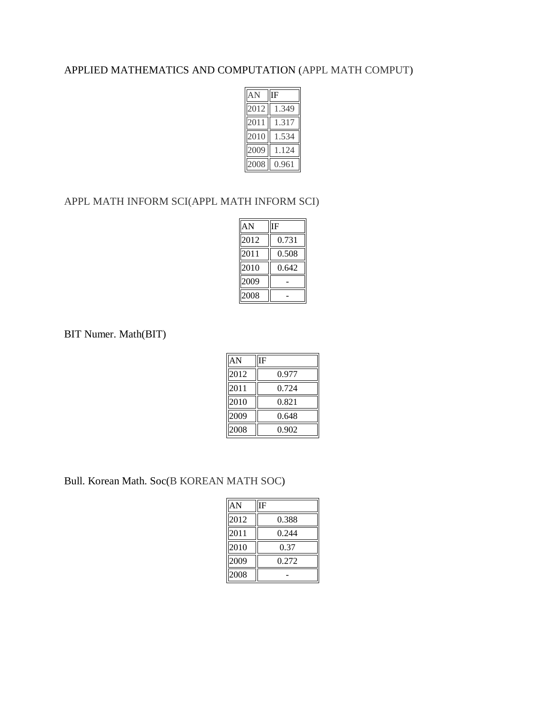#### APPLIED MATHEMATICS AND COMPUTATION (APPL MATH COMPUT)

| AN   | IF    |
|------|-------|
| 2012 | 1.349 |
| 2011 | 1.317 |
| 2010 | .534  |
| 2009 | 124   |
| 2008 | 0.961 |

#### APPL MATH INFORM SCI(APPL MATH INFORM SCI)

| AN   | ΙF    |
|------|-------|
| 2012 | 0.731 |
| 2011 | 0.508 |
| 2010 | 0.642 |
| 2009 |       |
| 2008 |       |

#### BIT Numer. Math(BIT)

| AN   | ΙF    |
|------|-------|
| 2012 | 0.977 |
| 2011 | 0.724 |
| 2010 | 0.821 |
| 2009 | 0.648 |
| 2008 | 0.902 |

Bull. Korean Math. Soc(B KOREAN MATH SOC)

| AN   | ΙF    |
|------|-------|
| 2012 | 0.388 |
| 2011 | 0.244 |
| 2010 | 0.37  |
| 2009 | 0.272 |
| 2008 |       |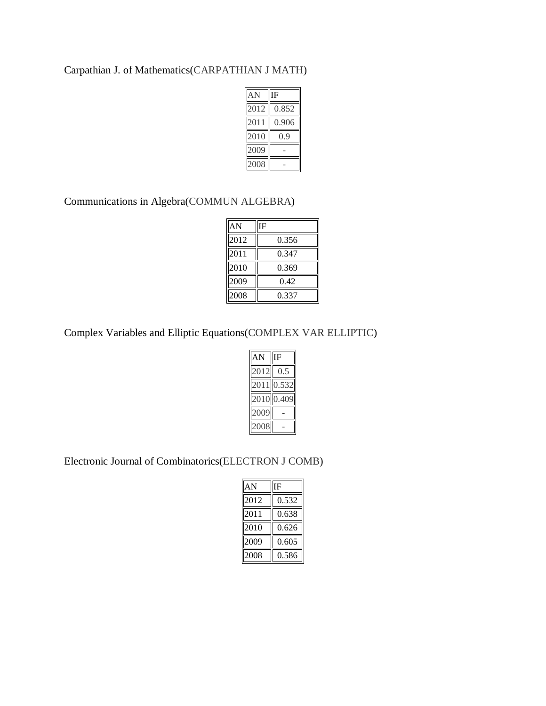#### Carpathian J. of Mathematics(CARPATHIAN J MATH)

| AN   | ΙF           |  |
|------|--------------|--|
| 2012 | 0.852        |  |
| 2011 | 0.906        |  |
| 2010 | <sup>Q</sup> |  |
| 2009 |              |  |
| 2008 |              |  |

#### Communications in Algebra(COMMUN ALGEBRA)

| AN   | ſF    |
|------|-------|
| 2012 | 0.356 |
| 2011 | 0.347 |
| 2010 | 0.369 |
| 2009 | 0.42  |
| 2008 | 0.337 |

## Complex Variables and Elliptic Equations(COMPLEX VAR ELLIPTIC)

| ιN      | F                        |
|---------|--------------------------|
| 012     | $\overline{\mathcal{L}}$ |
| 011     | .532                     |
| $_{01}$ | $\cdot$                  |
|         |                          |
| 008     |                          |

Electronic Journal of Combinatorics(ELECTRON J COMB)

| AN   | IF    |
|------|-------|
| 2012 | 0.532 |
| 2011 | 0.638 |
| 2010 | 0.626 |
| 2009 | 0.605 |
| 2008 | 0.586 |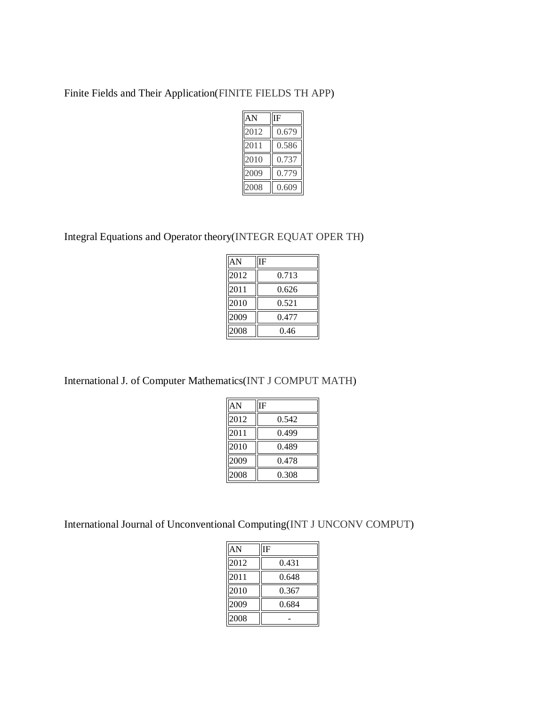Finite Fields and Their Application(FINITE FIELDS TH APP)

| AN   | ſF    |
|------|-------|
| 2012 | 0.679 |
| 2011 | 0.586 |
| 2010 | 0.737 |
| 2009 | 0.779 |
| 2008 | 0.609 |

Integral Equations and Operator theory(INTEGR EQUAT OPER TH)

| AN   | F     |
|------|-------|
| 2012 | 0.713 |
| 2011 | 0.626 |
| 2010 | 0.521 |
| 2009 | 0.477 |
| 2008 | 0.46  |

International J. of Computer Mathematics(INT J COMPUT MATH)

| AN   | IF    |
|------|-------|
| 2012 | 0.542 |
| 2011 | 0.499 |
| 2010 | 0.489 |
| 2009 | 0.478 |
| 2008 | 0.308 |

International Journal of Unconventional Computing(INT J UNCONV COMPUT)

| AN   | IF    |
|------|-------|
| 2012 | 0.431 |
| 2011 | 0.648 |
| 2010 | 0.367 |
| 2009 | 0.684 |
| 2008 |       |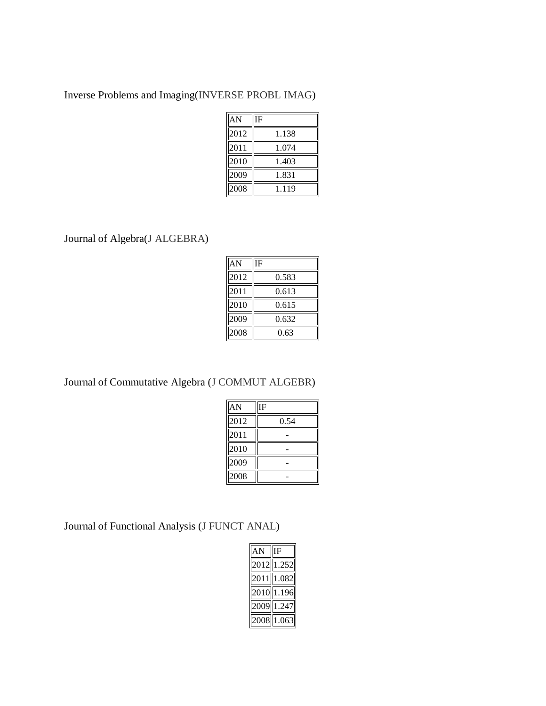Inverse Problems and Imaging(INVERSE PROBL IMAG)

| AN   | ĪF    |
|------|-------|
| 2012 | 1.138 |
| 2011 | 1.074 |
| 2010 | 1.403 |
| 2009 | 1.831 |
| 2008 | 1.119 |

Journal of Algebra(J ALGEBRA)

| AN   | ΙF    |
|------|-------|
| 2012 | 0.583 |
| 2011 | 0.613 |
| 2010 | 0.615 |
| 2009 | 0.632 |
| 2008 | 0.63  |

Journal of Commutative Algebra (J COMMUT ALGEBR)

| AN   | IF   |
|------|------|
| 2012 | 0.54 |
| 2011 |      |
| 2010 |      |
| 2009 |      |
| 2008 |      |

Journal of Functional Analysis (J FUNCT ANAL)

| $AN$   IF |              |
|-----------|--------------|
|           | 2012 1.252   |
|           | 2011 1.082   |
|           | $2010$ 1.196 |
|           | 2009 1.247   |
|           | 2008 1.063   |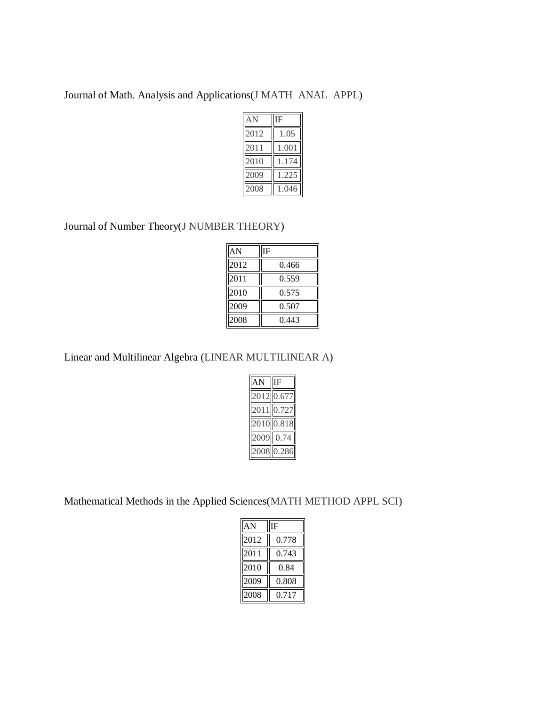Journal of Math. Analysis and Applications(J MATH ANAL APPL)

| AN   | ΙF    |
|------|-------|
| 2012 | 1.05  |
| 2011 | 1.001 |
| 2010 | 1.174 |
| 2009 | 1.225 |
| 2008 | 1.046 |

Journal of Number Theory(J NUMBER THEORY)

| AN   | IF    |
|------|-------|
| 2012 | 0.466 |
| 2011 | 0.559 |
| 2010 | 0.575 |
| 2009 | 0.507 |
| 2008 | 0.443 |

Linear and Multilinear Algebra (LINEAR MULTILINEAR A)

| $\overline{AN}$ | $\overline{\text{IF}}$ |
|-----------------|------------------------|
|                 | 2012 0.677             |
|                 | 2011 0.727             |
|                 | 2010 0.818             |
|                 | 2009 0.74              |
|                 | 2008 0.286             |

Mathematical Methods in the Applied Sciences(MATH METHOD APPL SCI)

| AN   | IF    |
|------|-------|
| 2012 | 0.778 |
| 2011 | 0.743 |
| 2010 | 0.84  |
| 2009 | 0.808 |
| 2008 | 0.717 |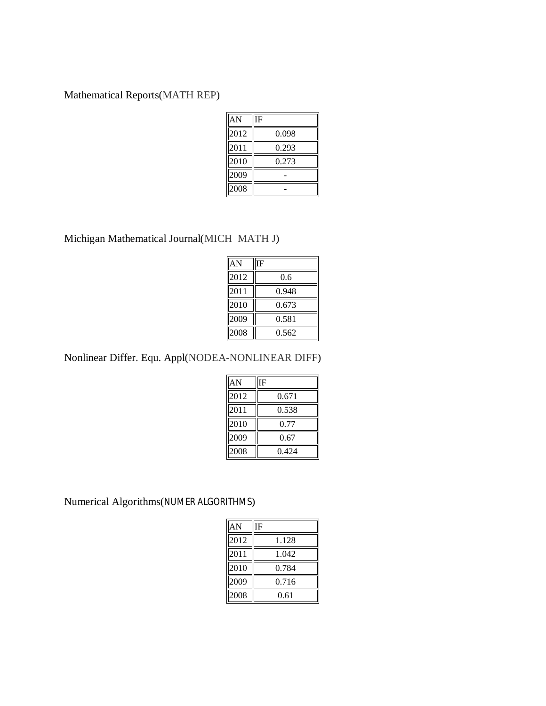Mathematical Reports(MATH REP)

| AN   | ΙF    |
|------|-------|
| 2012 | 0.098 |
| 2011 | 0.293 |
| 2010 | 0.273 |
| 2009 |       |
| 2008 |       |

Michigan Mathematical Journal(MICH MATH J)

| AN   | IF    |
|------|-------|
| 2012 | 0.6   |
| 2011 | 0.948 |
| 2010 | 0.673 |
| 2009 | 0.581 |
| 2008 | 0.562 |
|      |       |

Nonlinear Differ. Equ. Appl(NODEA-NONLINEAR DIFF)

| AN   | ΙF    |
|------|-------|
| 2012 | 0.671 |
| 2011 | 0.538 |
| 2010 | 0.77  |
| 2009 | 0.67  |
| 2008 | 0.424 |

Numerical Algorithms(NUMER ALGORITHMS)

| AN   | ΙF    |
|------|-------|
| 2012 | 1.128 |
| 2011 | 1.042 |
| 2010 | 0.784 |
| 2009 | 0.716 |
| 2008 | 0.61  |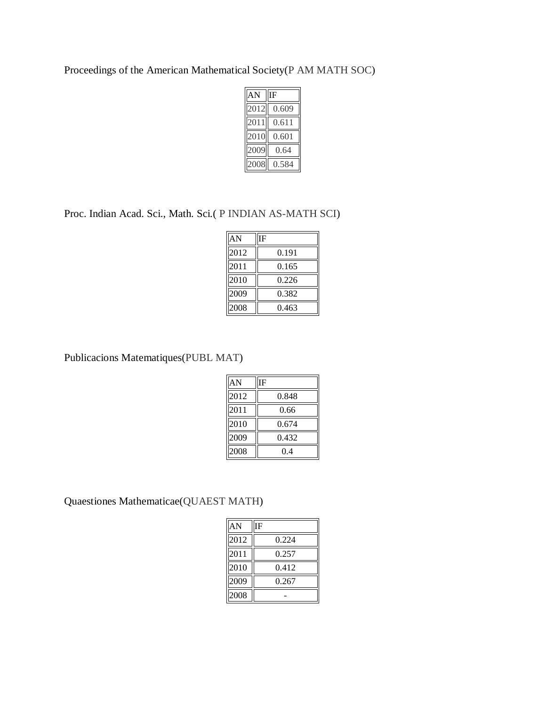Proceedings of the American Mathematical Society(P AM MATH SOC)

| AN   | ΙF    |  |
|------|-------|--|
| 2012 | 0.609 |  |
| 2011 | 0.611 |  |
| 2010 | 0.601 |  |
| 2009 | 0.64  |  |
| 2008 | 0.584 |  |

Proc. Indian Acad. Sci., Math. Sci.( P INDIAN AS-MATH SCI)

| AN   | IF    |
|------|-------|
| 2012 | 0.191 |
| 2011 | 0.165 |
| 2010 | 0.226 |
| 2009 | 0.382 |
| 2008 | 0.463 |

Publicacions Matematiques(PUBL MAT)

| AN   | IF    |
|------|-------|
| 2012 | 0.848 |
| 2011 | 0.66  |
| 2010 | 0.674 |
| 2009 | 0.432 |
| 2008 | 0.4   |

Quaestiones Mathematicae(QUAEST MATH)

| AN   | IF    |
|------|-------|
| 2012 | 0.224 |
| 2011 | 0.257 |
| 2010 | 0.412 |
| 2009 | 0.267 |
| 2008 |       |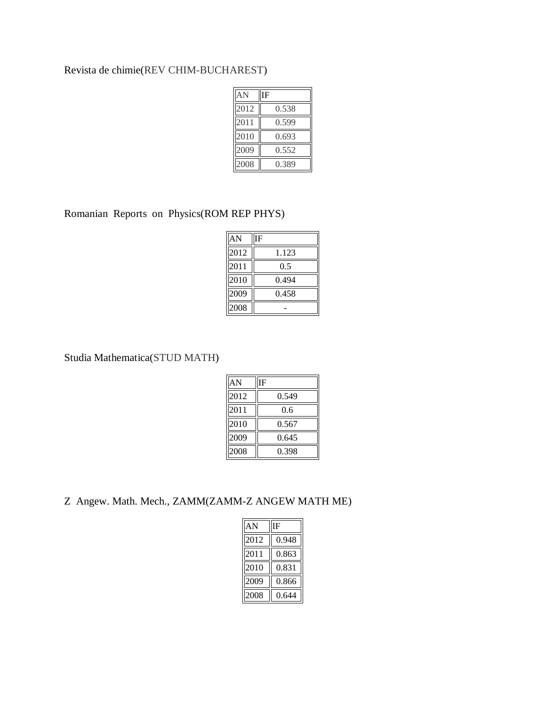## Revista de chimie(REV CHIM-BUCHAREST)

| AN   | IF    |
|------|-------|
| 2012 | 0.538 |
| 2011 | 0.599 |
| 2010 | 0.693 |
| 2009 | 0.552 |
| 2008 | 0.389 |

Romanian Reports on Physics(ROM REP PHYS)

| AN   | ĪF    |
|------|-------|
| 2012 | 1.123 |
| 2011 | 0.5   |
| 2010 | 0.494 |
| 2009 | 0.458 |
| 2008 |       |

Studia Mathematica(STUD MATH)

| AN   | IF    |
|------|-------|
| 2012 | 0.549 |
| 2011 | 0.6   |
| 2010 | 0.567 |
| 2009 | 0.645 |
| 2008 | 0.398 |

Z Angew. Math. Mech., ZAMM(ZAMM-Z ANGEW MATH ME)

| AN   | IF    |
|------|-------|
| 2012 | 0.948 |
| 2011 | 0.863 |
| 2010 | 0.831 |
| 2009 | 0.866 |
| 2008 | 0.644 |